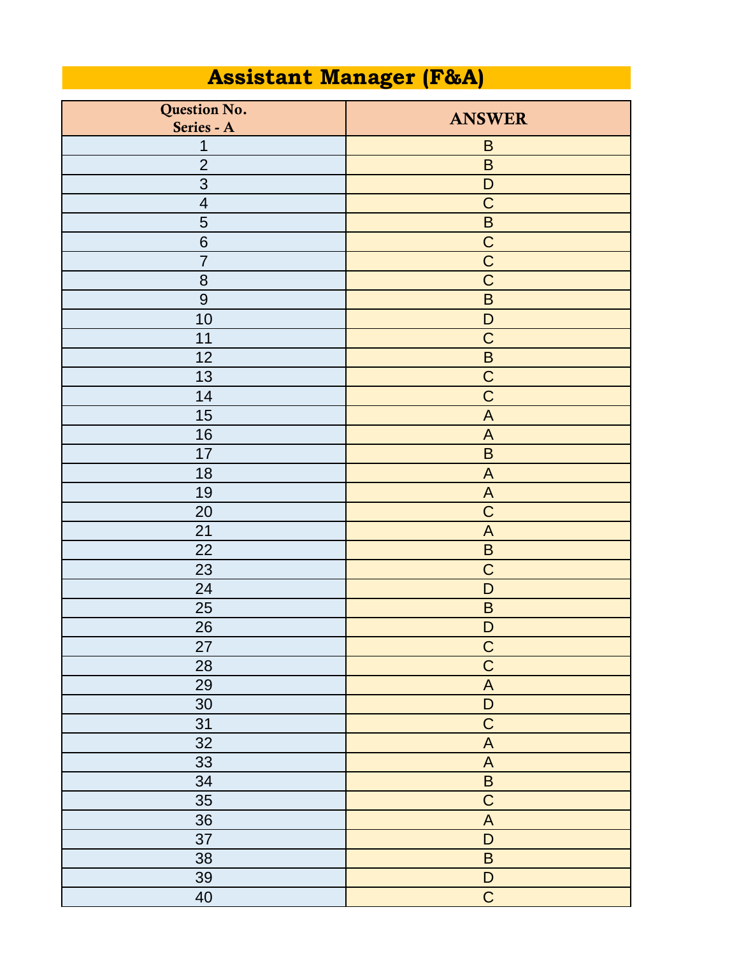## **Assistant Manager (F&A)**

| Question No.            | <b>ANSWER</b>             |
|-------------------------|---------------------------|
| Series - A              |                           |
| 1                       | $\mathsf B$               |
| $\overline{2}$          | $\overline{B}$            |
| 3                       | $\mathsf D$               |
| $\overline{\mathbf{4}}$ | $\mathsf C$               |
| 5                       | $\sf B$                   |
| $6\phantom{1}6$         | $\mathsf C$               |
| $\overline{7}$          | $\overline{C}$            |
| 8                       | $\overline{C}$            |
| 9                       | $\sf B$                   |
| 10                      | $\mathsf D$               |
| 11                      | $\mathsf C$               |
| 12                      | $\sf B$                   |
| 13                      | $\overline{C}$            |
| 14                      | $\mathsf C$               |
| 15                      | $\mathsf{A}$              |
| 16                      | $\mathsf{A}$              |
| 17                      | $\sf B$                   |
| 18                      | $\mathsf{A}$              |
| 19                      | $\boldsymbol{\mathsf{A}}$ |
| 20                      | $\mathsf C$               |
| 21                      | $\mathsf{A}$              |
| 22                      | $\sf B$                   |
| 23                      | $\mathsf C$               |
| 24                      | D                         |
| 25                      | $\sf B$                   |
| 26                      | $\mathsf D$               |
| 27                      | $\overline{C}$            |
| 28                      | $\overline{C}$            |
| 29                      | $\overline{A}$            |
| 30                      | $\overline{D}$            |
| 31                      | $\overline{C}$            |
| 32                      | $\boldsymbol{\mathsf{A}}$ |
| 33                      | $\boldsymbol{\mathsf{A}}$ |
| 34                      | $\sf B$                   |
| 35                      | $\overline{C}$            |
| 36                      | $\boldsymbol{\mathsf{A}}$ |
| 37                      | $\overline{D}$            |
| 38                      | $\sf B$                   |
| 39                      | $\mathsf D$               |
| 40                      | $\overline{C}$            |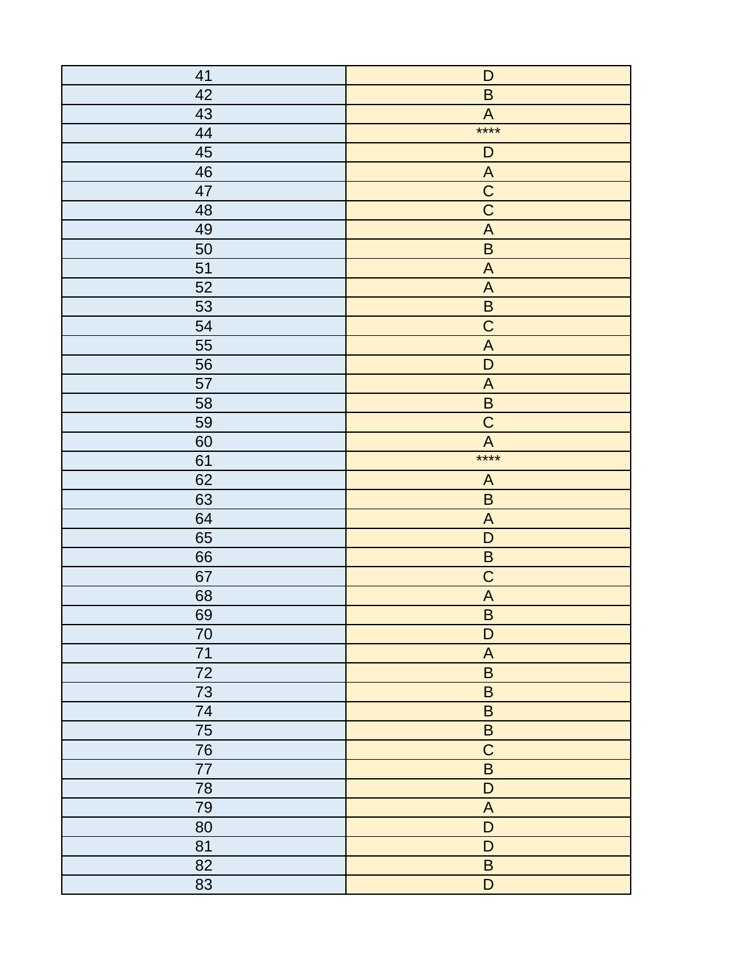| 41 | $\mathsf D$               |
|----|---------------------------|
| 42 | $\sf B$                   |
| 43 | $\boldsymbol{\mathsf{A}}$ |
| 44 | $***$                     |
| 45 | $\mathsf D$               |
| 46 | $\overline{A}$            |
| 47 | $\overline{C}$            |
| 48 | $\overline{\text{C}}$     |
| 49 | $\boldsymbol{\mathsf{A}}$ |
| 50 | $\sf B$                   |
| 51 | $\boldsymbol{\mathsf{A}}$ |
| 52 | $\boldsymbol{\mathsf{A}}$ |
| 53 | $\sf B$                   |
| 54 | $\overline{C}$            |
| 55 | $\boldsymbol{\mathsf{A}}$ |
| 56 | $\mathsf D$               |
| 57 | $\boldsymbol{\mathsf{A}}$ |
| 58 | $\sf B$                   |
| 59 | $\mathsf C$               |
| 60 | $\overline{A}$            |
| 61 | $***$                     |
| 62 | $\mathsf{A}$              |
| 63 | $\overline{B}$            |
| 64 | $\boldsymbol{\mathsf{A}}$ |
| 65 | $\mathsf D$               |
| 66 | $\overline{\mathsf{B}}$   |
| 67 | $\mathsf C$               |
| 68 | $\overline{A}$            |
| 69 | $\sf B$                   |
| 70 | $\mathsf D$               |
| 71 | $\boldsymbol{\mathsf{A}}$ |
| 72 | $\sf B$                   |
| 73 | $\sf B$                   |
| 74 | $\sf B$                   |
| 75 | $\sf B$                   |
| 76 | $\mathsf C$               |
| 77 | $\overline{B}$            |
| 78 | $\mathsf D$               |
| 79 | $\boldsymbol{\mathsf{A}}$ |
| 80 | $\mathsf D$               |
| 81 | $\mathsf D$               |
| 82 | $\sf B$                   |
| 83 | $\overline{D}$            |